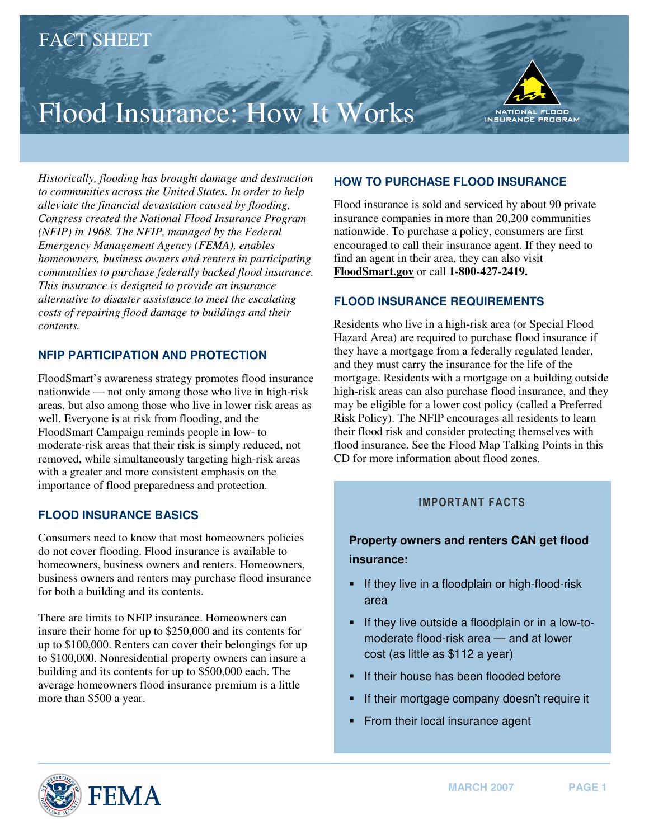# Flood Insurance: How It Works



*Historically, flooding has brought damage and destruction to communities across the United States. In order to help alleviate the financial devastation caused by flooding, Congress created the National Flood Insurance Program (NFIP) in 1968. The NFIP, managed by the Federal Emergency Management Agency (FEMA), enables homeowners, business owners and renters in participating communities to purchase federally backed flood insurance. This insurance is designed to provide an insurance alternative to disaster assistance to meet the escalating costs of repairing flood damage to buildings and their contents.* 

## **NFIP PARTICIPATION AND PROTECTION**

FloodSmart's awareness strategy promotes flood insurance nationwide — not only among those who live in high-risk areas, but also among those who live in lower risk areas as well. Everyone is at risk from flooding, and the FloodSmart Campaign reminds people in low- to moderate-risk areas that their risk is simply reduced, not removed, while simultaneously targeting high-risk areas with a greater and more consistent emphasis on the importance of flood preparedness and protection.

### **FLOOD INSURANCE BASICS**

Consumers need to know that most homeowners policies do not cover flooding. Flood insurance is available to homeowners, business owners and renters. Homeowners, business owners and renters may purchase flood insurance for both a building and its contents.

There are limits to NFIP insurance. Homeowners can insure their home for up to \$250,000 and its contents for up to \$100,000. Renters can cover their belongings for up to \$100,000. Nonresidential property owners can insure a building and its contents for up to \$500,000 each. The average homeowners flood insurance premium is a little more than \$500 a year.

## **HOW TO PURCHASE FLOOD INSURANCE**

Flood insurance is sold and serviced by about 90 private insurance companies in more than 20,200 communities nationwide. To purchase a policy, consumers are first encouraged to call their insurance agent. If they need to find an agent in their area, they can also visit **[FloodSmart.gov](http://FloodSmart.gov)** or call **1-800-427-2419.** 

### **FLOOD INSURANCE REQUIREMENTS**

Residents who live in a high-risk area (or Special Flood Hazard Area) are required to purchase flood insurance if they have a mortgage from a federally regulated lender, and they must carry the insurance for the life of the mortgage. Residents with a mortgage on a building outside high-risk areas can also purchase flood insurance, and they may be eligible for a lower cost policy (called a Preferred Risk Policy). The NFIP encourages all residents to learn their flood risk and consider protecting themselves with flood insurance. See the Flood Map Talking Points in this CD for more information about flood zones.

# IMPORTANT FACTS

# **Property owners and renters CAN get flood insurance:**

- **F** If they live in a floodplain or high-flood-risk area
- **F** If they live outside a floodplain or in a low-tomoderate flood-risk area — and at lower cost (as little as \$112 a year)
- If their house has been flooded before
- If their mortgage company doesn't require it
- From their local insurance agent